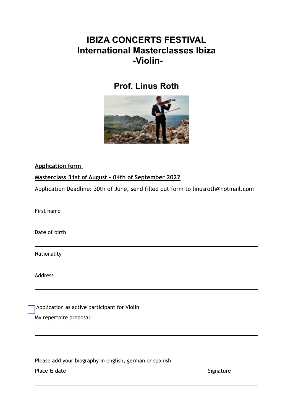## **IBIZA CONCERTS FESTIVAL International Masterclasses Ibiza -Violin-**

## **Prof. Linus Roth**



**Application form** 

## **Masterclass 31st of August – 04th of September 2022**

Application Deadline: 30th of June, send filled out form to linusroth@hotmail.com

First name

Date of birth

Nationality

Address

Application as active participant for Violin My repertoire proposal:

Please add your biography in english, german or spanish

Place & date Signature